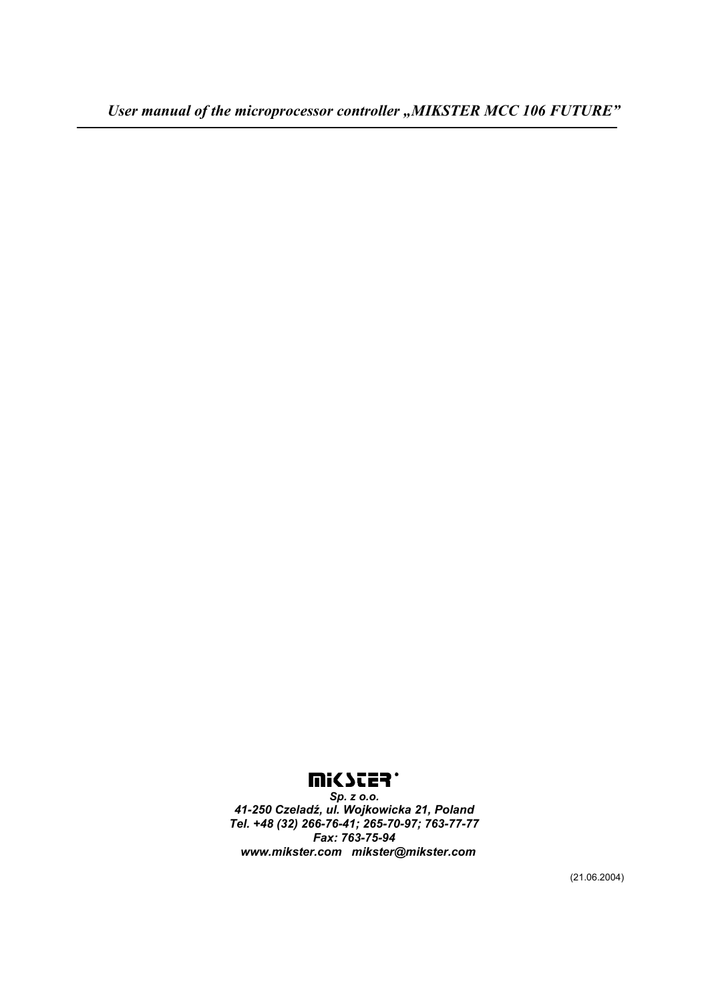# **Mi<br/>SCER**

*Sp. z o.o. 41-250 Czeladź, ul. Wojkowicka 21, Poland Tel. +48 (32) 266-76-41; 265-70-97; 763-77-77 Fax: 763-75-94 www.mikster.com mikster@mikster.com* 

(21.06.2004)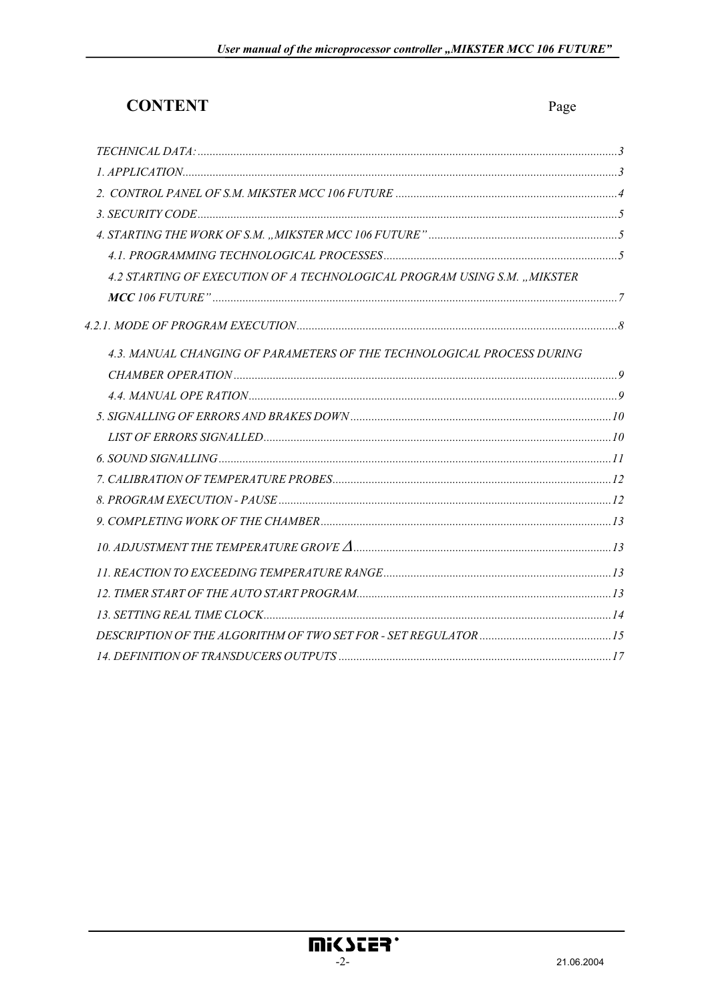# **CONTENT**

| 4.2 STARTING OF EXECUTION OF A TECHNOLOGICAL PROGRAM USING S.M. "MIKSTER |  |
|--------------------------------------------------------------------------|--|
|                                                                          |  |
|                                                                          |  |
| 4.3. MANUAL CHANGING OF PARAMETERS OF THE TECHNOLOGICAL PROCESS DURING   |  |
|                                                                          |  |
|                                                                          |  |
|                                                                          |  |
|                                                                          |  |
|                                                                          |  |
|                                                                          |  |
|                                                                          |  |
|                                                                          |  |
|                                                                          |  |
|                                                                          |  |
|                                                                          |  |
|                                                                          |  |
|                                                                          |  |
|                                                                          |  |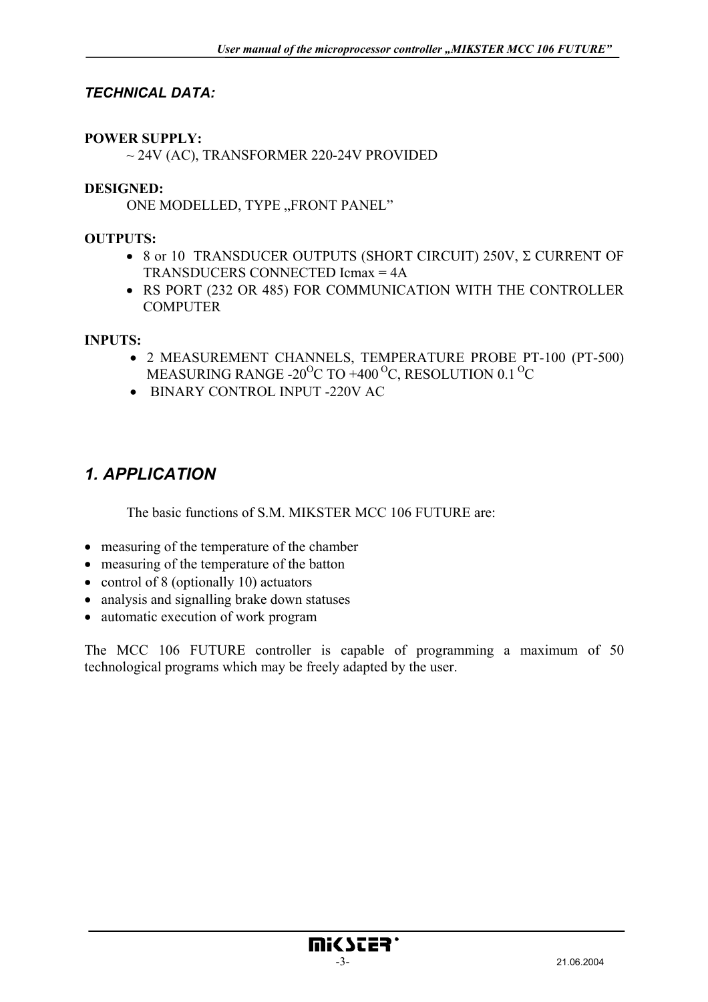## *TECHNICAL DATA:*

#### **POWER SUPPLY:**

 $\sim$  24V (AC), TRANSFORMER 220-24V PROVIDED

#### **DESIGNED:**

ONE MODELLED, TYPE "FRONT PANEL"

#### **OUTPUTS:**

- 8 or 10 TRANSDUCER OUTPUTS (SHORT CIRCUIT) 250V, Σ CURRENT OF TRANSDUCERS CONNECTED Icmax = 4A
- RS PORT (232 OR 485) FOR COMMUNICATION WITH THE CONTROLLER **COMPUTER**

#### **INPUTS:**

- 2 MEASUREMENT CHANNELS, TEMPERATURE PROBE PT-100 (PT-500) MEASURING RANGE -20<sup>o</sup>C TO +400<sup>o</sup>C, RESOLUTION 0.1<sup>o</sup>C
- BINARY CONTROL INPUT -220V AC

## *1. APPLICATION*

The basic functions of S.M. MIKSTER MCC 106 FUTURE are:

- measuring of the temperature of the chamber
- measuring of the temperature of the batton
- control of 8 (optionally 10) actuators
- analysis and signalling brake down statuses
- automatic execution of work program

The MCC 106 FUTURE controller is capable of programming a maximum of 50 technological programs which may be freely adapted by the user.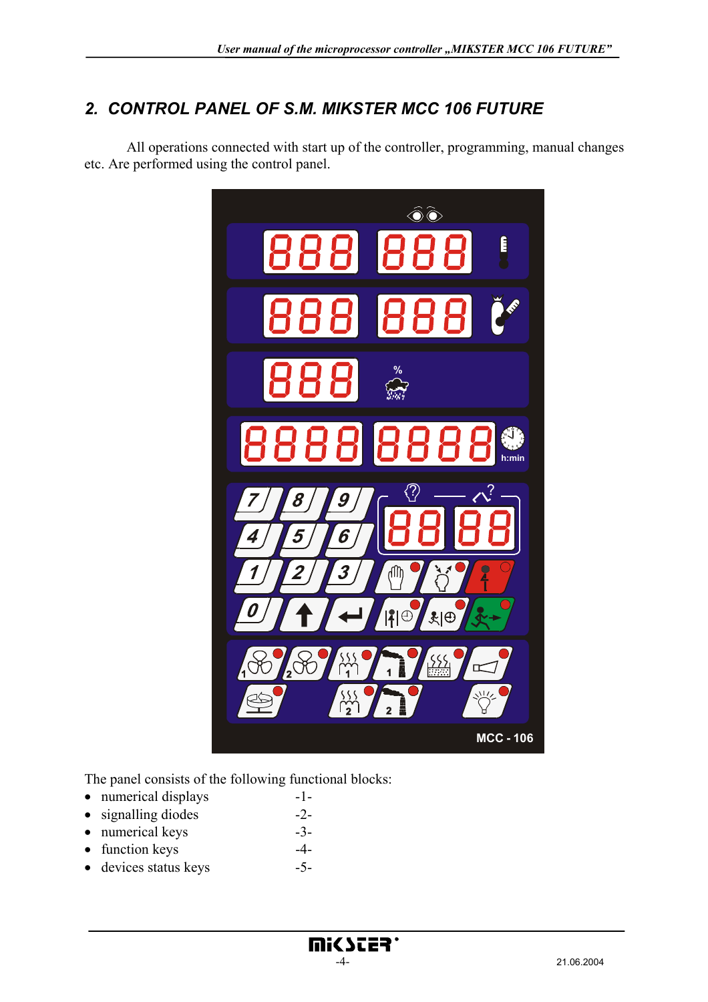# *2. CONTROL PANEL OF S.M. MIKSTER MCC 106 FUTURE*

 All operations connected with start up of the controller, programming, manual changes etc. Are performed using the control panel.



The panel consists of the following functional blocks:

- numerical displays -1-
- signalling diodes -2-
- numerical keys -3-
- function keys -4-
- devices status keys -5-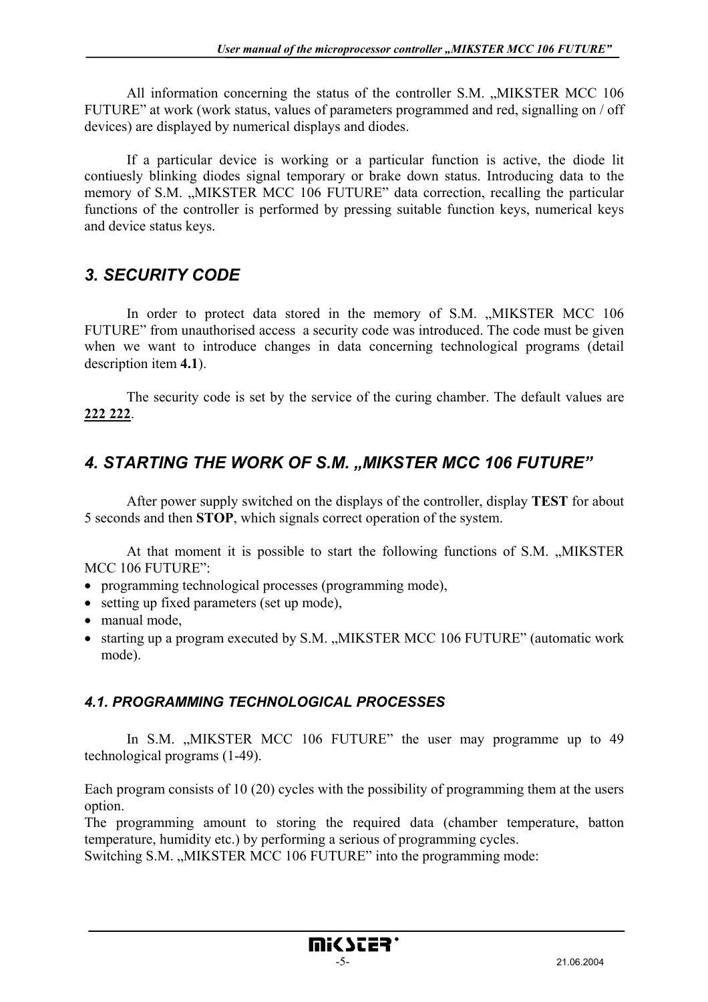All information concerning the status of the controller S.M. "MIKSTER MCC 106 FUTURE" at work (work status, values of parameters programmed and red, signalling on / off devices) are displayed by numerical displays and diodes.

 If a particular device is working or a particular function is active, the diode lit contiuesly blinking diodes signal temporary or brake down status. Introducing data to the memory of S.M. "MIKSTER MCC 106 FUTURE" data correction, recalling the particular functions of the controller is performed by pressing suitable function keys, numerical keys and device status keys.

## *3. SECURITY CODE*

In order to protect data stored in the memory of S.M. "MIKSTER MCC 106 FUTURE" from unauthorised access a security code was introduced. The code must be given when we want to introduce changes in data concerning technological programs (detail description item **4.1**).

 The security code is set by the service of the curing chamber. The default values are **222 222**.

# *4. STARTING THE WORK OF S.M. "MIKSTER MCC 106 FUTURE"*

 After power supply switched on the displays of the controller, display **TEST** for about 5 seconds and then **STOP**, which signals correct operation of the system.

At that moment it is possible to start the following functions of S.M. "MIKSTER MCC 106 FUTURE":

- programming technological processes (programming mode),
- setting up fixed parameters (set up mode),
- manual mode,
- starting up a program executed by S.M. "MIKSTER MCC 106 FUTURE" (automatic work mode).

## *4.1. PROGRAMMING TECHNOLOGICAL PROCESSES*

In S.M. "MIKSTER MCC 106 FUTURE" the user may programme up to 49 technological programs (1-49).

Each program consists of 10 (20) cycles with the possibility of programming them at the users option.

The programming amount to storing the required data (chamber temperature, batton temperature, humidity etc.) by performing a serious of programming cycles.

Switching S.M. "MIKSTER MCC 106 FUTURE" into the programming mode: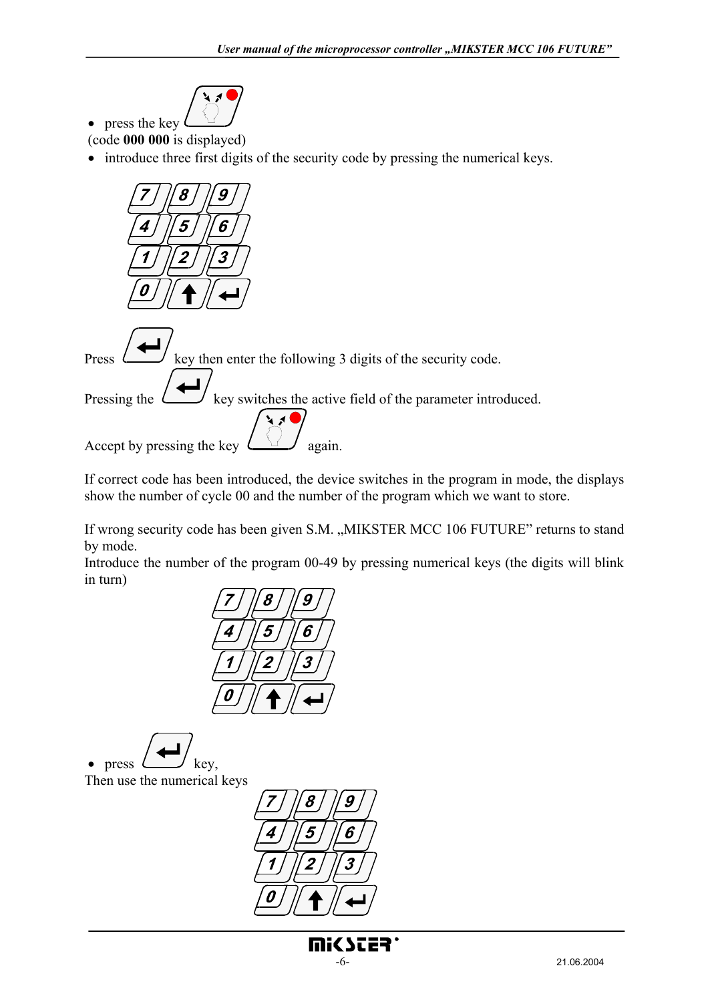

• press the key (code **000 000** is displayed)

• introduce three first digits of the security code by pressing the numerical keys.



Press  $\Box$  key then enter the following 3 digits of the security code. Pressing the  $k \sim \sim$  key switches the active field of the parameter introduced.

Accept by pressing the key  $\Box$  again.

If correct code has been introduced, the device switches in the program in mode, the displays show the number of cycle 00 and the number of the program which we want to store.

If wrong security code has been given S.M. "MIKSTER MCC 106 FUTURE" returns to stand by mode.

Introduce the number of the program 00-49 by pressing numerical keys (the digits will blink in turn)



• press  $L \cup \mathbb{R}$ ey, Then use the numerical keys

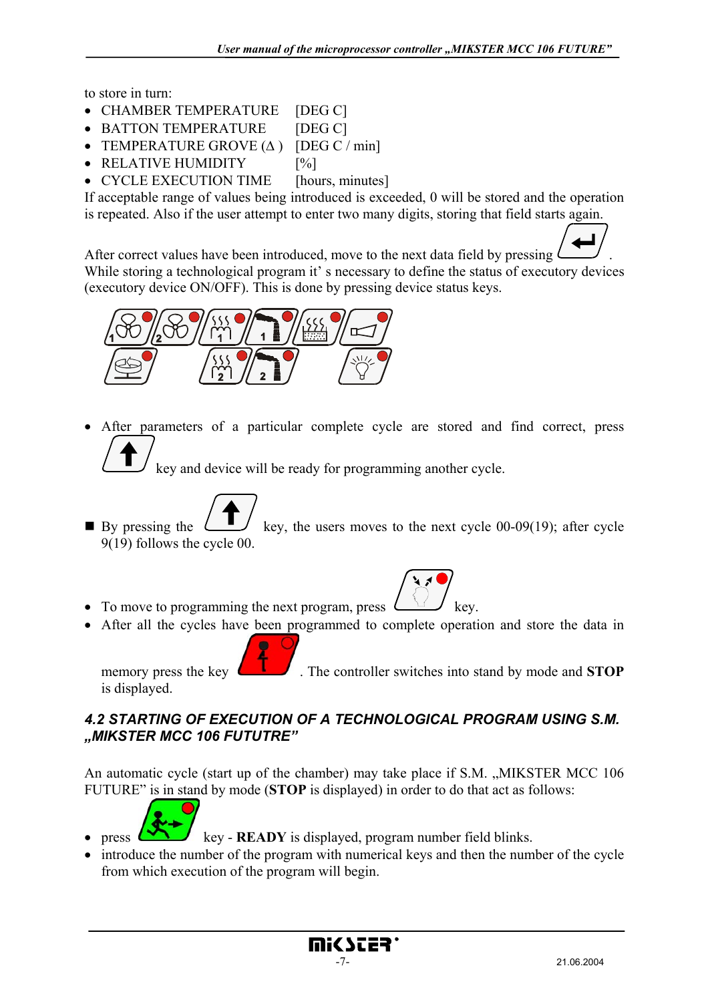to store in turn:

- CHAMBER TEMPERATURE [DEG C]
- BATTON TEMPERATURE [DEG C]
- TEMPERATURE GROVE  $(\Delta)$  [DEG C / min]
- RELATIVE HUMIDITY [%]
- CYCLE EXECUTION TIME [hours, minutes]

If acceptable range of values being introduced is exceeded, 0 will be stored and the operation is repeated. Also if the user attempt to enter two many digits, storing that field starts again.

After correct values have been introduced, move to the next data field by pressing . While storing a technological program it's necessary to define the status of executory devices (executory device ON/OFF). This is done by pressing device status keys.



After parameters of a particular complete cycle are stored and find correct, press

key and device will be ready for programming another cycle.

- By pressing the  $\Box$  key, the users moves to the next cycle 00-09(19); after cycle 9(19) follows the cycle 00.
- To move to programming the next program, press  $\sqrt{t}$  key.
- After all the cycles have been programmed to complete operation and store the data in

memory press the key  $\Box$  The controller switches into stand by mode and **STOP** is displayed.

### *4.2 STARTING OF EXECUTION OF A TECHNOLOGICAL PROGRAM USING S.M. "MIKSTER MCC 106 FUTUTRE"*

An automatic cycle (start up of the chamber) may take place if S.M. "MIKSTER MCC 106 FUTURE" is in stand by mode (**STOP** is displayed) in order to do that act as follows:



- press  $k_y READY$  is displayed, program number field blinks.
- introduce the number of the program with numerical keys and then the number of the cycle from which execution of the program will begin.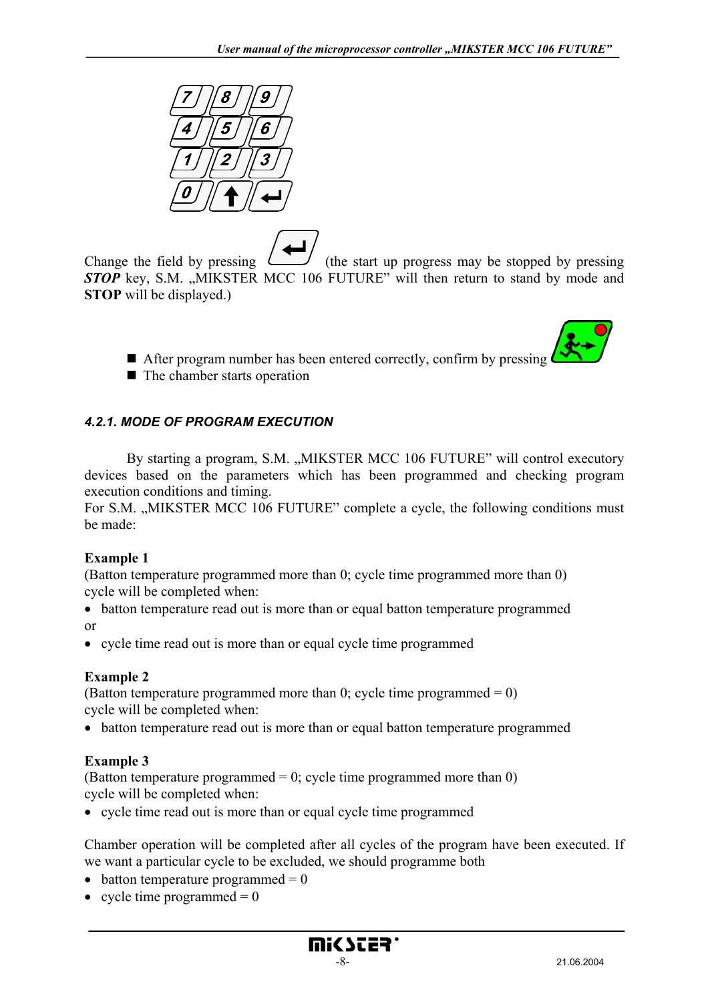

Change the field by pressing  $\left(\frac{1}{\sqrt{1-\epsilon}}\right)$  (the start up progress may be stopped by pressing **STOP** key, S.M. "MIKSTER MCC 106 FUTURE" will then return to stand by mode and **STOP** will be displayed.)

- After program number has been entered correctly, confirm by pressing
- $\blacksquare$  The chamber starts operation

## *4.2.1. MODE OF PROGRAM EXECUTION*

By starting a program, S.M. "MIKSTER MCC 106 FUTURE" will control executory devices based on the parameters which has been programmed and checking program execution conditions and timing.

For S.M. "MIKSTER MCC 106 FUTURE" complete a cycle, the following conditions must be made:

### **Example 1**

(Batton temperature programmed more than 0; cycle time programmed more than 0) cycle will be completed when:

- batton temperature read out is more than or equal batton temperature programmed or
- cycle time read out is more than or equal cycle time programmed

## **Example 2**

(Batton temperature programmed more than 0; cycle time programmed  $= 0$ ) cycle will be completed when:

• batton temperature read out is more than or equal batton temperature programmed

## **Example 3**

(Batton temperature programmed  $= 0$ ; cycle time programmed more than 0) cycle will be completed when:

• cycle time read out is more than or equal cycle time programmed

Chamber operation will be completed after all cycles of the program have been executed. If we want a particular cycle to be excluded, we should programme both

- batton temperature programmed  $= 0$
- cycle time programmed  $= 0$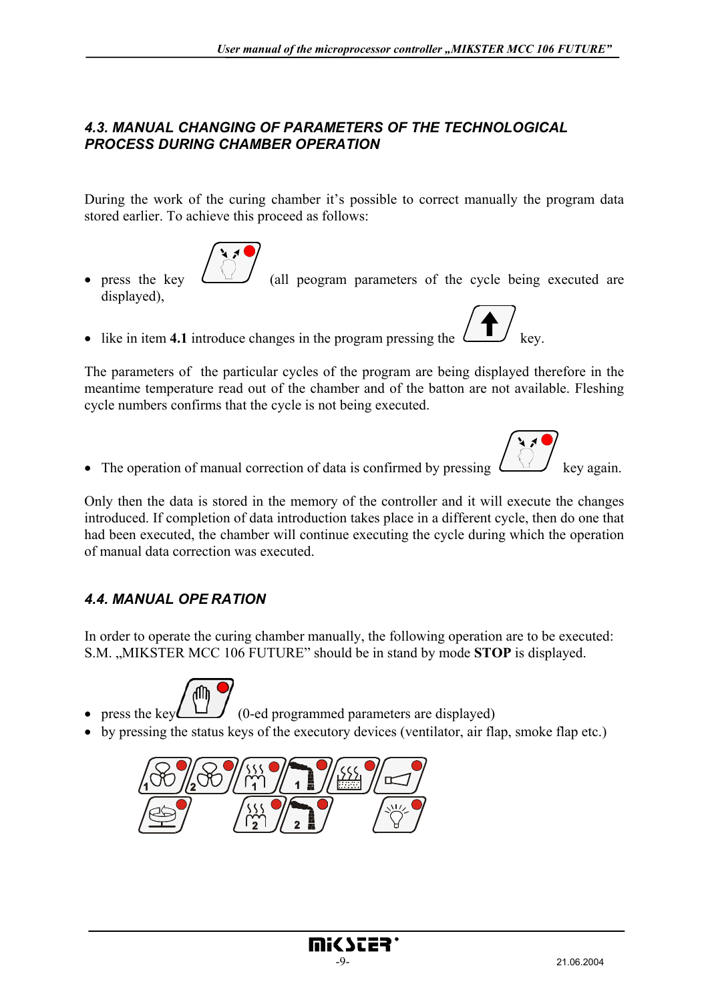## *4.3. MANUAL CHANGING OF PARAMETERS OF THE TECHNOLOGICAL PROCESS DURING CHAMBER OPERATION*

During the work of the curing chamber it's possible to correct manually the program data stored earlier. To achieve this proceed as follows:



- press the key  $\overline{\bigcup_{i=1}^{\infty}$  (all peogram parameters of the cycle being executed are displayed),
- like in item 4.1 introduce changes in the program pressing the

The parameters of the particular cycles of the program are being displayed therefore in the meantime temperature read out of the chamber and of the batton are not available. Fleshing cycle numbers confirms that the cycle is not being executed.

• The operation of manual correction of data is confirmed by pressing  $\overline{\bigcup_{k=1}^{k} A_k}$  key again.

Only then the data is stored in the memory of the controller and it will execute the changes introduced. If completion of data introduction takes place in a different cycle, then do one that had been executed, the chamber will continue executing the cycle during which the operation of manual data correction was executed.

## *4.4. MANUAL OPE RATION*

In order to operate the curing chamber manually, the following operation are to be executed: S.M. "MIKSTER MCC 106 FUTURE" should be in stand by mode **STOP** is displayed.



- press the key  $(1)$  (0-ed programmed parameters are displayed)
- by pressing the status keys of the executory devices (ventilator, air flap, smoke flap etc.)

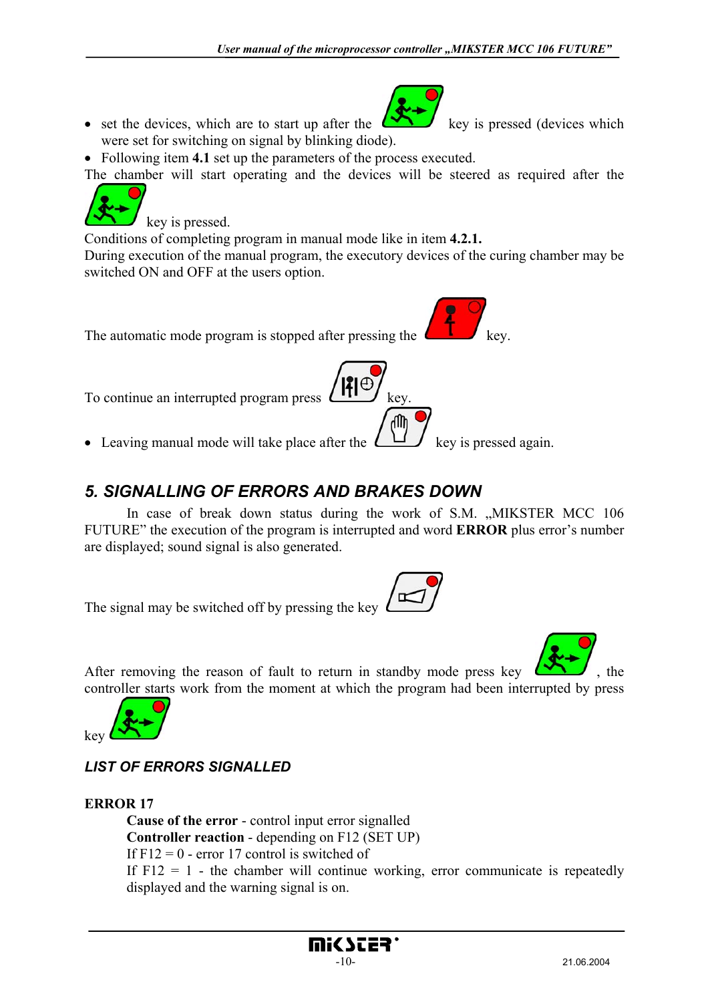

- set the devices, which are to start up after the  $k \rightarrow \infty$  key is pressed (devices which were set for switching on signal by blinking diode).
- Following item **4.1** set up the parameters of the process executed.

The chamber will start operating and the devices will be steered as required after the

key is pressed. Conditions of completing program in manual mode like in item **4.2.1.**

During execution of the manual program, the executory devices of the curing chamber may be switched ON and OFF at the users option.



# *5. SIGNALLING OF ERRORS AND BRAKES DOWN*

In case of break down status during the work of S.M. "MIKSTER MCC 106 FUTURE" the execution of the program is interrupted and word **ERROR** plus error's number are displayed; sound signal is also generated.

The signal may be switched off by pressing the key





# *LIST OF ERRORS SIGNALLED*

## **ERROR 17**

 **Cause of the error** - control input error signalled **Controller reaction** - depending on F12 (SET UP) If  $F12 = 0$  - error 17 control is switched of If  $F12 = 1$  - the chamber will continue working, error communicate is repeatedly displayed and the warning signal is on.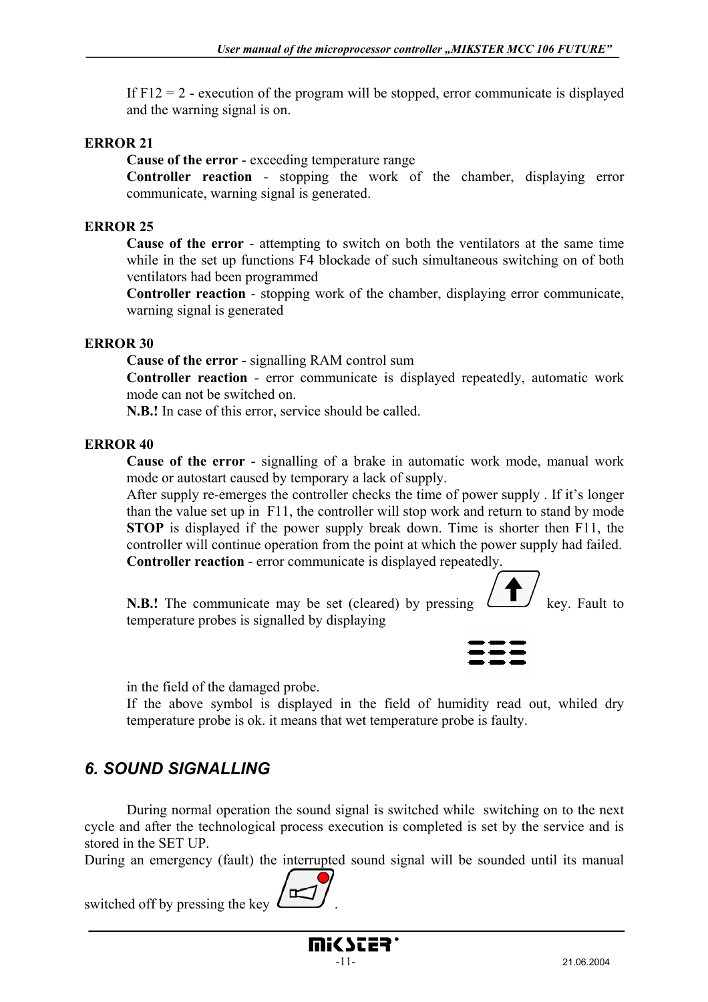If  $F12 = 2$  - execution of the program will be stopped, error communicate is displayed and the warning signal is on.

#### **ERROR 21**

 **Cause of the error** - exceeding temperature range

**Controller reaction** - stopping the work of the chamber, displaying error communicate, warning signal is generated.

#### **ERROR 25**

 **Cause of the error** - attempting to switch on both the ventilators at the same time while in the set up functions F4 blockade of such simultaneous switching on of both ventilators had been programmed

**Controller reaction** - stopping work of the chamber, displaying error communicate, warning signal is generated

#### **ERROR 30**

 **Cause of the error** - signalling RAM control sum

**Controller reaction** - error communicate is displayed repeatedly, automatic work mode can not be switched on.

**N.B.!** In case of this error, service should be called.

#### **ERROR 40**

 **Cause of the error** - signalling of a brake in automatic work mode, manual work mode or autostart caused by temporary a lack of supply.

 After supply re-emerges the controller checks the time of power supply . If it's longer than the value set up in F11, the controller will stop work and return to stand by mode **STOP** is displayed if the power supply break down. Time is shorter then F11, the controller will continue operation from the point at which the power supply had failed. **Controller reaction** - error communicate is displayed repeatedly.

**N.B.!** The communicate may be set (cleared) by pressing  $\qquad \qquad$  key. Fault to temperature probes is signalled by displaying



in the field of the damaged probe.

 If the above symbol is displayed in the field of humidity read out, whiled dry temperature probe is ok. it means that wet temperature probe is faulty.

# *6. SOUND SIGNALLING*

 During normal operation the sound signal is switched while switching on to the next cycle and after the technological process execution is completed is set by the service and is stored in the SET UP.

During an emergency (fault) the interrupted sound signal will be sounded until its manual

switched off by pressing the key .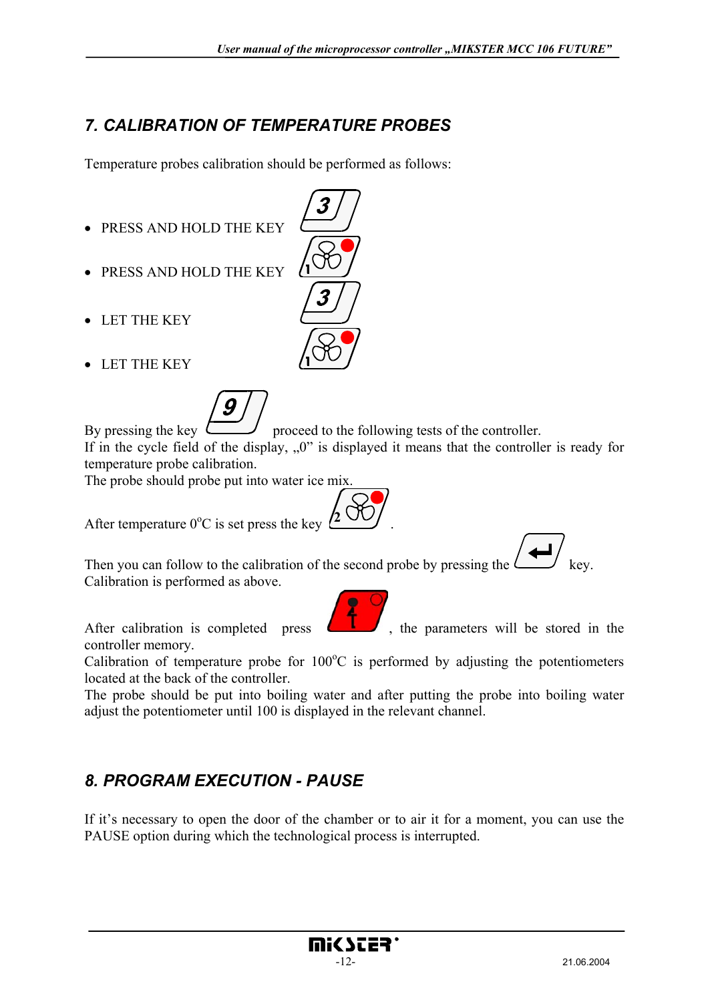# *7. CALIBRATION OF TEMPERATURE PROBES*

Temperature probes calibration should be performed as follows:

- PRESS AND HOLD THE KEY
- PRESS AND HOLD THE KEY
- LET THE KEY
- LET THE KEY



By pressing the key  $\Box$  proceed to the following tests of the controller. If in the cycle field of the display,  $\theta$ " is displayed it means that the controller is ready for temperature probe calibration.

The probe should probe put into water ice mix.

After temperature  $0^{\circ}$ C is set press the key  $(2^{\circ}$ 

Then you can follow to the calibration of the second probe by pressing the  $\ell$ Calibration is performed as above.



After calibration is completed press  $\left\langle \right\rangle$ , the parameters will be stored in the

controller memory.

Calibration of temperature probe for  $100^{\circ}$ C is performed by adjusting the potentiometers located at the back of the controller.

The probe should be put into boiling water and after putting the probe into boiling water adjust the potentiometer until 100 is displayed in the relevant channel.

# *8. PROGRAM EXECUTION - PAUSE*

If it's necessary to open the door of the chamber or to air it for a moment, you can use the PAUSE option during which the technological process is interrupted.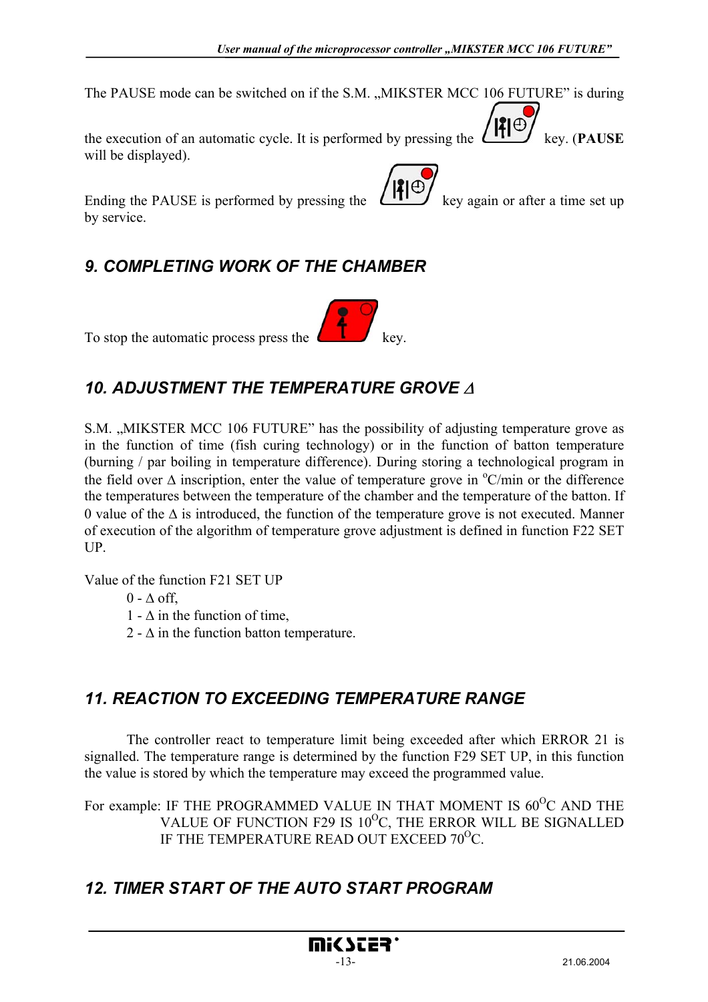The PAUSE mode can be switched on if the S.M. "MIKSTER MCC 106 FUTURE" is during

the execution of an automatic cycle. It is performed by pressing the  $\left(\frac{\mathbf{P}}{\mathbf{P}}\right)_{k \in \mathcal{N}}$ . (**PAUSE** will be displayed).

Ending the PAUSE is performed by pressing the  $\left(\frac{|\mathbf{P}|}{|\mathbf{P}|}\right)$  key again or after a time set up by service.

# *9. COMPLETING WORK OF THE CHAMBER*

To stop the automatic process press the

## *10. ADJUSTMENT THE TEMPERATURE GROVE* <sup>∆</sup>

S.M. "MIKSTER MCC 106 FUTURE" has the possibility of adjusting temperature grove as in the function of time (fish curing technology) or in the function of batton temperature (burning / par boiling in temperature difference). During storing a technological program in the field over  $\Delta$  inscription, enter the value of temperature grove in  $\mathrm{C/min}$  or the difference the temperatures between the temperature of the chamber and the temperature of the batton. If 0 value of the  $\Delta$  is introduced, the function of the temperature grove is not executed. Manner of execution of the algorithm of temperature grove adjustment is defined in function F22 SET UP.

Value of the function F21 SET UP

 $0 - \Lambda$  off

1 -  $\Delta$  in the function of time,

2 -  $\Delta$  in the function batton temperature.

# *11. REACTION TO EXCEEDING TEMPERATURE RANGE*

 The controller react to temperature limit being exceeded after which ERROR 21 is signalled. The temperature range is determined by the function F29 SET UP, in this function the value is stored by which the temperature may exceed the programmed value.

For example: IF THE PROGRAMMED VALUE IN THAT MOMENT IS  $60^{\circ}$ C AND THE VALUE OF FUNCTION F29 IS  $10^{0}$ C, THE ERROR WILL BE SIGNALLED IF THE TEMPERATURE READ OUT EXCEED  $70^{\circ}$ C.

# *12. TIMER START OF THE AUTO START PROGRAM*

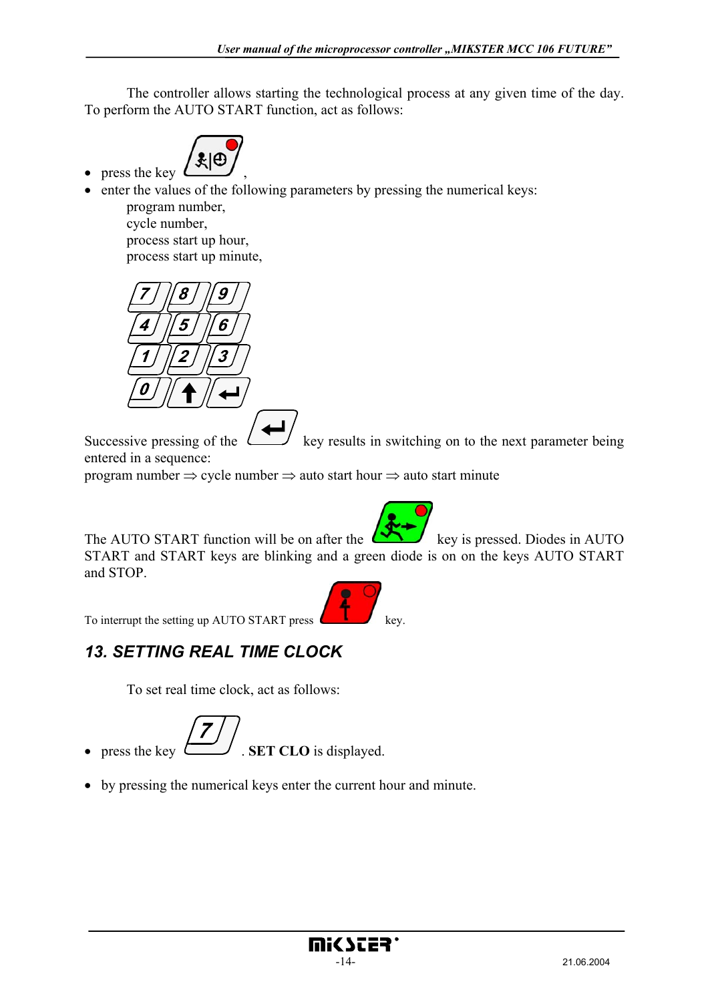The controller allows starting the technological process at any given time of the day. To perform the AUTO START function, act as follows:



• enter the values of the following parameters by pressing the numerical keys:

 program number, cycle number, process start up hour, process start up minute,



Successive pressing of the  $\Box$  key results in switching on to the next parameter being entered in a sequence:

program number ⇒ cycle number ⇒ auto start hour ⇒ auto start minute

The AUTO START function will be on after the  $\Box$  key is pressed. Diodes in AUTO START and START keys are blinking and a green diode is on on the keys AUTO START and STOP.



## *13. SETTING REAL TIME CLOCK*

To set real time clock, act as follows:



• by pressing the numerical keys enter the current hour and minute.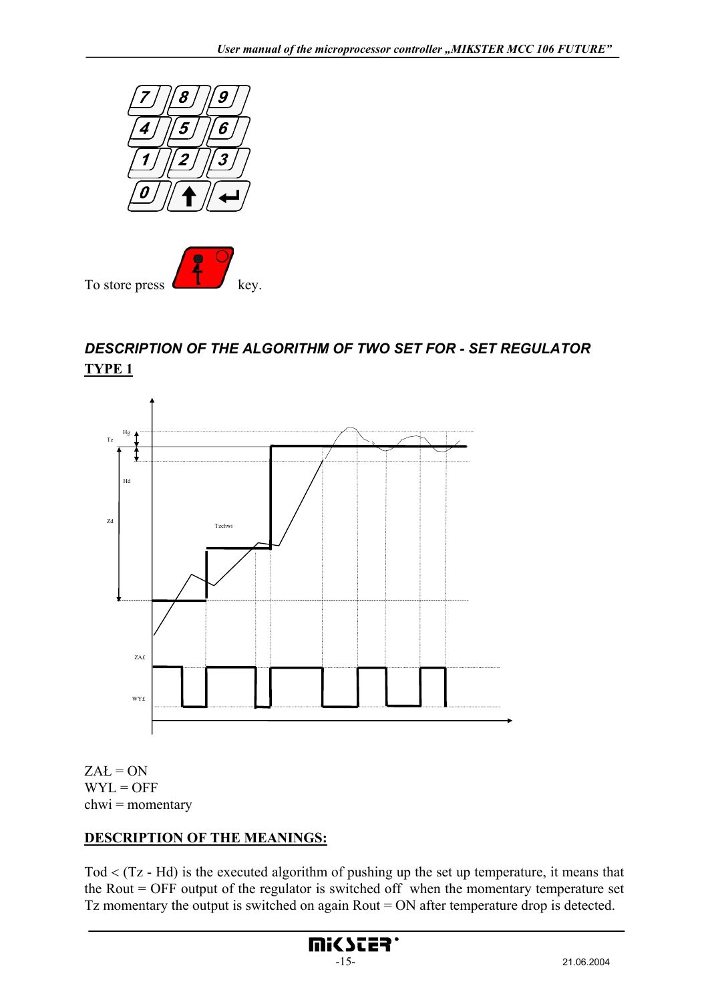



# *DESCRIPTION OF THE ALGORITHM OF TWO SET FOR - SET REGULATOR*  **TYPE 1**



 $ZAL = ON$  $WYL = OFF$  $chwi = momentary$ 

### **DESCRIPTION OF THE MEANINGS:**

Tod < (Tz - Hd) is the executed algorithm of pushing up the set up temperature, it means that the Rout = OFF output of the regulator is switched off when the momentary temperature set Tz momentary the output is switched on again Rout = ON after temperature drop is detected.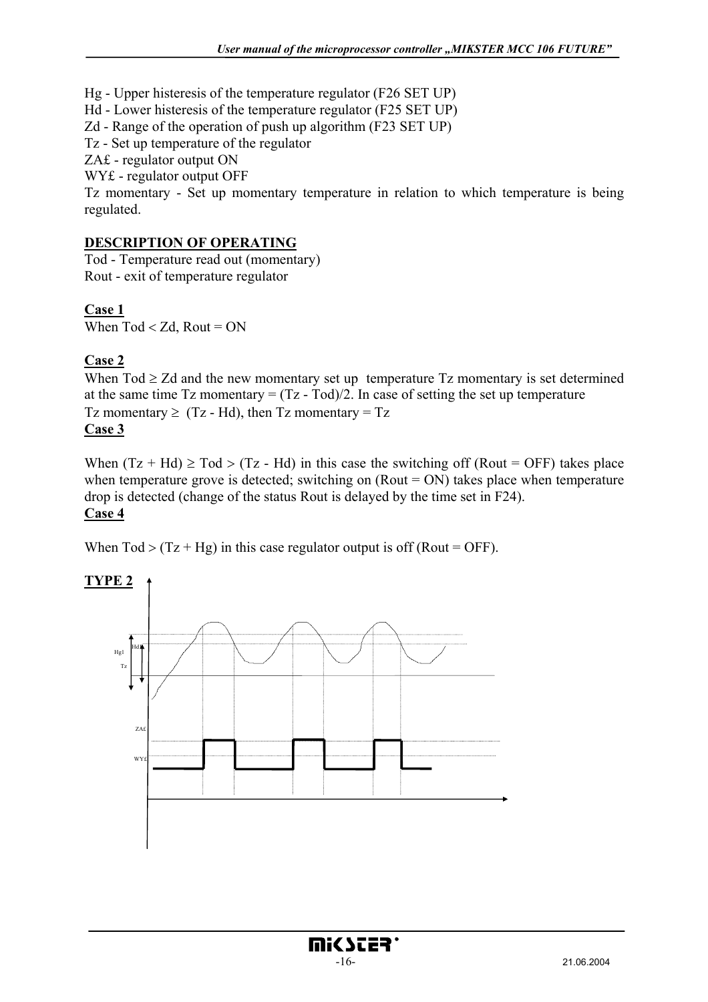Hg - Upper histeresis of the temperature regulator (F26 SET UP)

Hd - Lower histeresis of the temperature regulator (F25 SET UP)

Zd - Range of the operation of push up algorithm (F23 SET UP)

Tz - Set up temperature of the regulator

ZA£ - regulator output ON

WY£ - regulator output OFF

Tz momentary - Set up momentary temperature in relation to which temperature is being regulated.

#### **DESCRIPTION OF OPERATING**

Tod - Temperature read out (momentary) Rout - exit of temperature regulator

### **Case 1**

When  $Tod < Zd$ , Rout = ON

### **Case 2**

When  $\text{Tot} \geq \text{Zd}$  and the new momentary set up temperature  $\text{Tx}$  momentary is set determined at the same time  $Tz$  momentary =  $(Tz - Tod)/2$ . In case of setting the set up temperature Tz momentary  $\geq$  (Tz - Hd), then Tz momentary = Tz **Case 3**

When  $(Tz + Hd) \geq Tod > (Tz - Hd)$  in this case the switching off (Rout = OFF) takes place when temperature grove is detected; switching on  $(Rout = ON)$  takes place when temperature drop is detected (change of the status Rout is delayed by the time set in F24). **Case 4**

mic scea'

When  $Tod > (Tz + Hg)$  in this case regulator output is off (Rout = OFF).